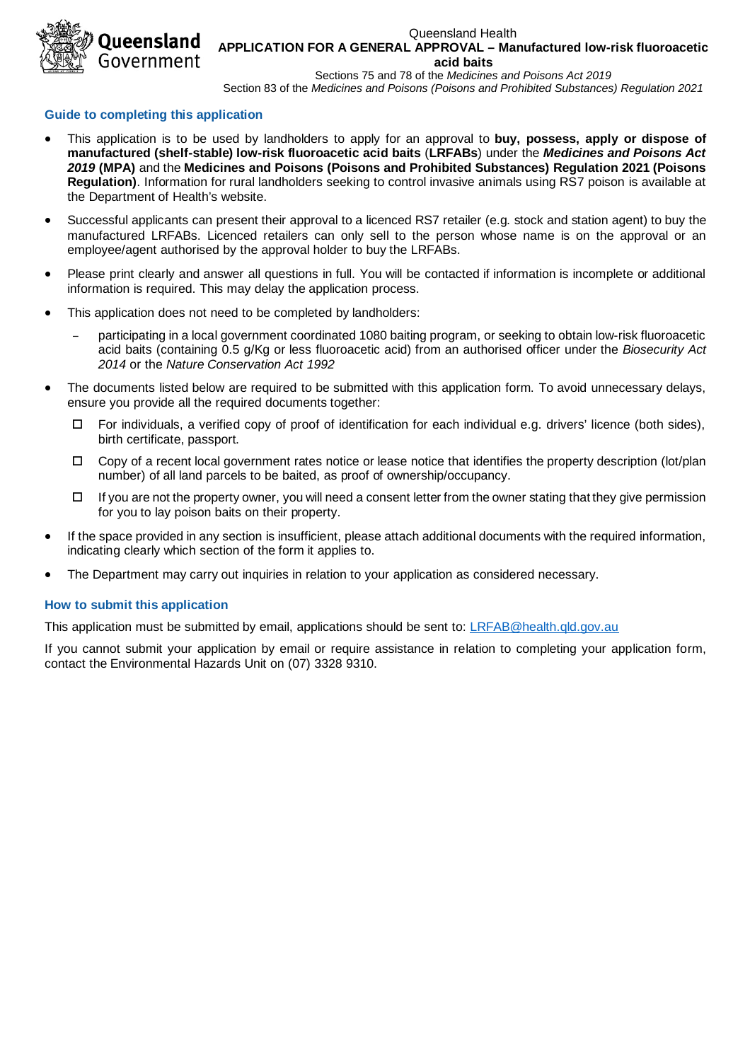ueensland Government

#### Queensland Health **APPLICATION FOR A GENERAL APPROVAL – Manufactured low-risk fluoroacetic acid baits**

Sections 75 and 78 of the *Medicines and Poisons Act 2019* Section 83 of the *Medicines and Poisons (Poisons and Prohibited Substances) Regulation 2021*

## **Guide to completing this application**

- This application is to be used by landholders to apply for an approval to **buy, possess, apply or dispose of manufactured (shelf-stable) low-risk fluoroacetic acid baits** (**LRFABs**) under the *Medicines and Poisons Act 2019* **(MPA)** and the **Medicines and Poisons (Poisons and Prohibited Substances) Regulation 2021 (Poisons Regulation)**. Information for rural landholders seeking to control invasive animals using RS7 poison is available at the Department of Health's website.
- Successful applicants can present their approval to a licenced RS7 retailer (e.g. stock and station agent) to buy the manufactured LRFABs. Licenced retailers can only sell to the person whose name is on the approval or an employee/agent authorised by the approval holder to buy the LRFABs.
- Please print clearly and answer all questions in full. You will be contacted if information is incomplete or additional information is required. This may delay the application process.
- This application does not need to be completed by landholders:
	- participating in a local government coordinated 1080 baiting program, or seeking to obtain low-risk fluoroacetic acid baits (containing 0.5 g/Kg or less fluoroacetic acid) from an authorised officer under the *Biosecurity Act 2014* or the *Nature Conservation Act 1992*
- The documents listed below are required to be submitted with this application form. To avoid unnecessary delays, ensure you provide all the required documents together:
	- $\Box$  For individuals, a verified copy of proof of identification for each individual e.g. drivers' licence (both sides), birth certificate, passport.
	- $\Box$  Copy of a recent local government rates notice or lease notice that identifies the property description (lot/plan number) of all land parcels to be baited, as proof of ownership/occupancy.
	- $\Box$  If you are not the property owner, you will need a consent letter from the owner stating that they give permission for you to lay poison baits on their property.
- If the space provided in any section is insufficient, please attach additional documents with the required information, indicating clearly which section of the form it applies to.
- The Department may carry out inquiries in relation to your application as considered necessary.

# **How to submit this application**

This application must be submitted by email, applications should be sent to: [LRFAB@health.qld.gov.au](mailto:LRFAB@health.qld.gov.au)

If you cannot submit your application by email or require assistance in relation to completing your application form, contact the Environmental Hazards Unit on (07) 3328 9310.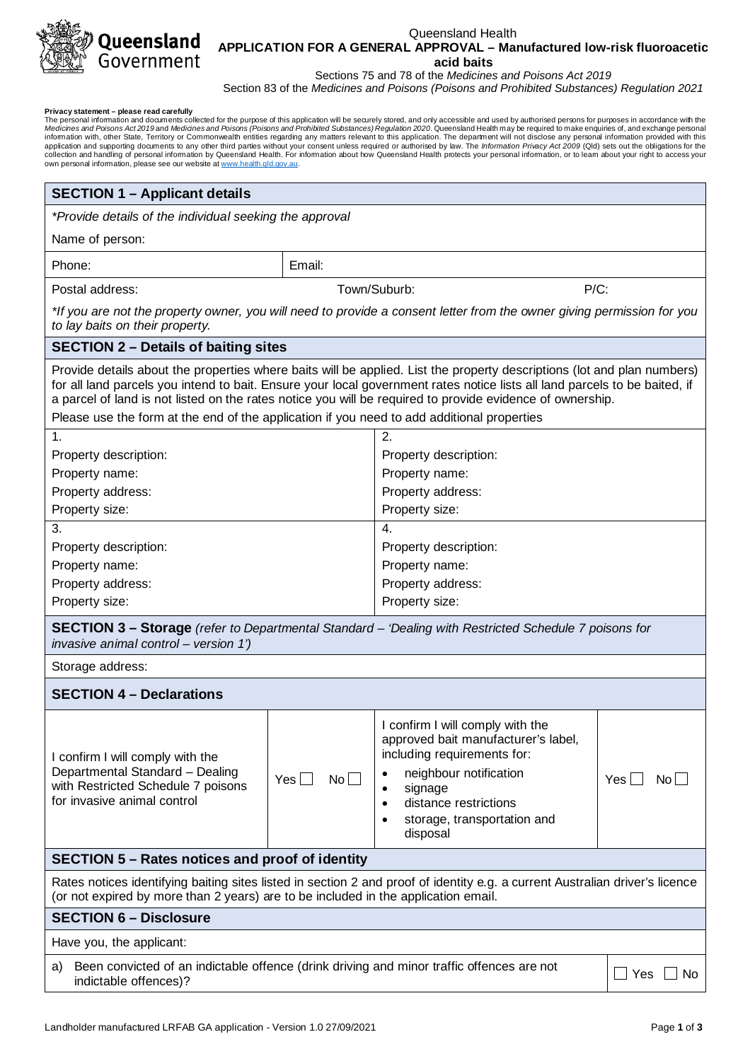

### Queensland Health **APPLICATION FOR A GENERAL APPROVAL – Manufactured low-risk fluoroacetic acid baits**

Sections 75 and 78 of the *Medicines and Poisons Act 2019*

Section 83 of the *Medicines and Poisons (Poisons and Prohibited Substances) Regulation 2021*

**Privacy statement – please read carefully**<br>The personal information and documents collected for the purpose of this application will be securely stored, and only accessible and used by authorised persons for purposes in a collection and handling of personal information by Queensland Health. For information about how Queensland Health protects your personal information, or to leam about your right to access your<br>own personal information, ple

| <b>SECTION 1 - Applicant details</b>                                                                                                                                                                                                                                                                                                                                                                                                                             |                   |                                                                                                                                       |                                             |  |  |
|------------------------------------------------------------------------------------------------------------------------------------------------------------------------------------------------------------------------------------------------------------------------------------------------------------------------------------------------------------------------------------------------------------------------------------------------------------------|-------------------|---------------------------------------------------------------------------------------------------------------------------------------|---------------------------------------------|--|--|
| *Provide details of the individual seeking the approval                                                                                                                                                                                                                                                                                                                                                                                                          |                   |                                                                                                                                       |                                             |  |  |
| Name of person:                                                                                                                                                                                                                                                                                                                                                                                                                                                  |                   |                                                                                                                                       |                                             |  |  |
| Phone:                                                                                                                                                                                                                                                                                                                                                                                                                                                           | Email:            |                                                                                                                                       |                                             |  |  |
| Postal address:                                                                                                                                                                                                                                                                                                                                                                                                                                                  |                   | Town/Suburb:<br>$P/C$ :                                                                                                               |                                             |  |  |
| *If you are not the property owner, you will need to provide a consent letter from the owner giving permission for you<br>to lay baits on their property.                                                                                                                                                                                                                                                                                                        |                   |                                                                                                                                       |                                             |  |  |
| <b>SECTION 2 – Details of baiting sites</b>                                                                                                                                                                                                                                                                                                                                                                                                                      |                   |                                                                                                                                       |                                             |  |  |
| Provide details about the properties where baits will be applied. List the property descriptions (lot and plan numbers)<br>for all land parcels you intend to bait. Ensure your local government rates notice lists all land parcels to be baited, if<br>a parcel of land is not listed on the rates notice you will be required to provide evidence of ownership.<br>Please use the form at the end of the application if you need to add additional properties |                   |                                                                                                                                       |                                             |  |  |
|                                                                                                                                                                                                                                                                                                                                                                                                                                                                  |                   |                                                                                                                                       |                                             |  |  |
| Property description:                                                                                                                                                                                                                                                                                                                                                                                                                                            | 1.                |                                                                                                                                       | 2.<br>Property description:                 |  |  |
| Property name:                                                                                                                                                                                                                                                                                                                                                                                                                                                   |                   |                                                                                                                                       | Property name:                              |  |  |
| Property address:                                                                                                                                                                                                                                                                                                                                                                                                                                                |                   | Property address:                                                                                                                     |                                             |  |  |
| Property size:                                                                                                                                                                                                                                                                                                                                                                                                                                                   |                   | Property size:                                                                                                                        |                                             |  |  |
| 3.                                                                                                                                                                                                                                                                                                                                                                                                                                                               |                   | 4.                                                                                                                                    |                                             |  |  |
| Property description:                                                                                                                                                                                                                                                                                                                                                                                                                                            |                   | Property description:                                                                                                                 |                                             |  |  |
| Property name:                                                                                                                                                                                                                                                                                                                                                                                                                                                   |                   | Property name:                                                                                                                        |                                             |  |  |
| Property address:                                                                                                                                                                                                                                                                                                                                                                                                                                                |                   | Property address:                                                                                                                     |                                             |  |  |
| Property size:                                                                                                                                                                                                                                                                                                                                                                                                                                                   |                   | Property size:                                                                                                                        |                                             |  |  |
| <b>SECTION 3 – Storage</b> (refer to Departmental Standard – 'Dealing with Restricted Schedule 7 poisons for<br>invasive animal control - version 1')                                                                                                                                                                                                                                                                                                            |                   |                                                                                                                                       |                                             |  |  |
| Storage address:                                                                                                                                                                                                                                                                                                                                                                                                                                                 |                   |                                                                                                                                       |                                             |  |  |
| <b>SECTION 4 - Declarations</b>                                                                                                                                                                                                                                                                                                                                                                                                                                  |                   |                                                                                                                                       |                                             |  |  |
| I confirm I will comply with the<br>Departmental Standard - Dealing                                                                                                                                                                                                                                                                                                                                                                                              |                   | I confirm I will comply with the<br>approved bait manufacturer's label,<br>including requirements for:<br>neighbour notification<br>٠ |                                             |  |  |
| with Restricted Schedule 7 poisons<br>for invasive animal control                                                                                                                                                                                                                                                                                                                                                                                                | No<br>$Yes \perp$ | signage<br>٠<br>distance restrictions<br>$\bullet$<br>storage, transportation and<br>disposal                                         | $Yes$   $\blacksquare$<br>$\mathsf{No}\Box$ |  |  |
| <b>SECTION 5 – Rates notices and proof of identity</b>                                                                                                                                                                                                                                                                                                                                                                                                           |                   |                                                                                                                                       |                                             |  |  |
| Rates notices identifying baiting sites listed in section 2 and proof of identity e.g. a current Australian driver's licence<br>(or not expired by more than 2 years) are to be included in the application email.                                                                                                                                                                                                                                               |                   |                                                                                                                                       |                                             |  |  |
| <b>SECTION 6 - Disclosure</b>                                                                                                                                                                                                                                                                                                                                                                                                                                    |                   |                                                                                                                                       |                                             |  |  |
| Have you, the applicant:                                                                                                                                                                                                                                                                                                                                                                                                                                         |                   |                                                                                                                                       |                                             |  |  |
| Been convicted of an indictable offence (drink driving and minor traffic offences are not<br>a)<br>_] Yes<br>No<br>indictable offences)?                                                                                                                                                                                                                                                                                                                         |                   |                                                                                                                                       |                                             |  |  |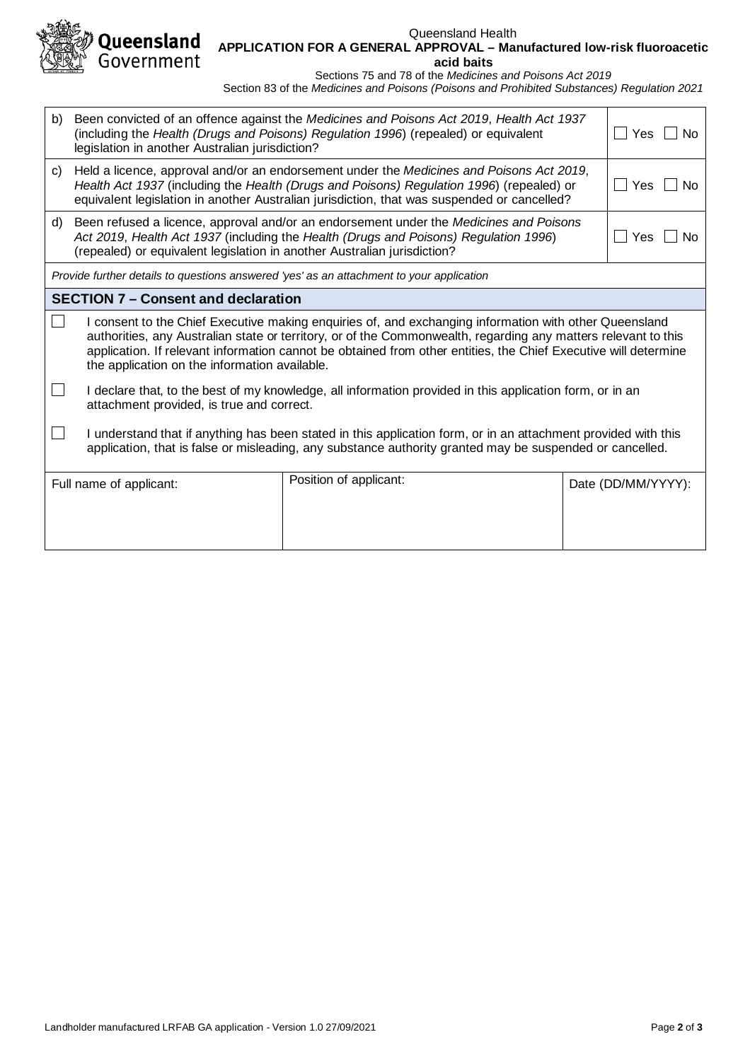

#### Queensland Health **APPLICATION FOR A GENERAL APPROVAL – Manufactured low-risk fluoroacetic acid baits**

Sections 75 and 78 of the *Medicines and Poisons Act 2019*

Section 83 of the *Medicines and Poisons (Poisons and Prohibited Substances) Regulation 2021*

| b)                                                                                       | legislation in another Australian jurisdiction?                                                                                                                                                                                                                                                                                                                                              | Been convicted of an offence against the Medicines and Poisons Act 2019, Health Act 1937<br>(including the Health (Drugs and Poisons) Regulation 1996) (repealed) or equivalent<br>Yes<br>No.                                                                                                           |  |                    |  |  |
|------------------------------------------------------------------------------------------|----------------------------------------------------------------------------------------------------------------------------------------------------------------------------------------------------------------------------------------------------------------------------------------------------------------------------------------------------------------------------------------------|---------------------------------------------------------------------------------------------------------------------------------------------------------------------------------------------------------------------------------------------------------------------------------------------------------|--|--------------------|--|--|
| C)                                                                                       |                                                                                                                                                                                                                                                                                                                                                                                              | Held a licence, approval and/or an endorsement under the Medicines and Poisons Act 2019,<br>Health Act 1937 (including the Health (Drugs and Poisons) Regulation 1996) (repealed) or<br>Yes<br><b>No</b><br>equivalent legislation in another Australian jurisdiction, that was suspended or cancelled? |  |                    |  |  |
| d)                                                                                       | Been refused a licence, approval and/or an endorsement under the Medicines and Poisons<br>Act 2019, Health Act 1937 (including the Health (Drugs and Poisons) Regulation 1996)<br>Yes<br>No.<br>(repealed) or equivalent legislation in another Australian jurisdiction?                                                                                                                     |                                                                                                                                                                                                                                                                                                         |  |                    |  |  |
| Provide further details to questions answered 'yes' as an attachment to your application |                                                                                                                                                                                                                                                                                                                                                                                              |                                                                                                                                                                                                                                                                                                         |  |                    |  |  |
| <b>SECTION 7 – Consent and declaration</b>                                               |                                                                                                                                                                                                                                                                                                                                                                                              |                                                                                                                                                                                                                                                                                                         |  |                    |  |  |
|                                                                                          | I consent to the Chief Executive making enquiries of, and exchanging information with other Queensland<br>authorities, any Australian state or territory, or of the Commonwealth, regarding any matters relevant to this<br>application. If relevant information cannot be obtained from other entities, the Chief Executive will determine<br>the application on the information available. |                                                                                                                                                                                                                                                                                                         |  |                    |  |  |
|                                                                                          | I declare that, to the best of my knowledge, all information provided in this application form, or in an<br>attachment provided, is true and correct.                                                                                                                                                                                                                                        |                                                                                                                                                                                                                                                                                                         |  |                    |  |  |
|                                                                                          | I understand that if anything has been stated in this application form, or in an attachment provided with this<br>application, that is false or misleading, any substance authority granted may be suspended or cancelled.                                                                                                                                                                   |                                                                                                                                                                                                                                                                                                         |  |                    |  |  |
|                                                                                          | Full name of applicant:                                                                                                                                                                                                                                                                                                                                                                      | Position of applicant:                                                                                                                                                                                                                                                                                  |  | Date (DD/MM/YYYY): |  |  |
|                                                                                          |                                                                                                                                                                                                                                                                                                                                                                                              |                                                                                                                                                                                                                                                                                                         |  |                    |  |  |